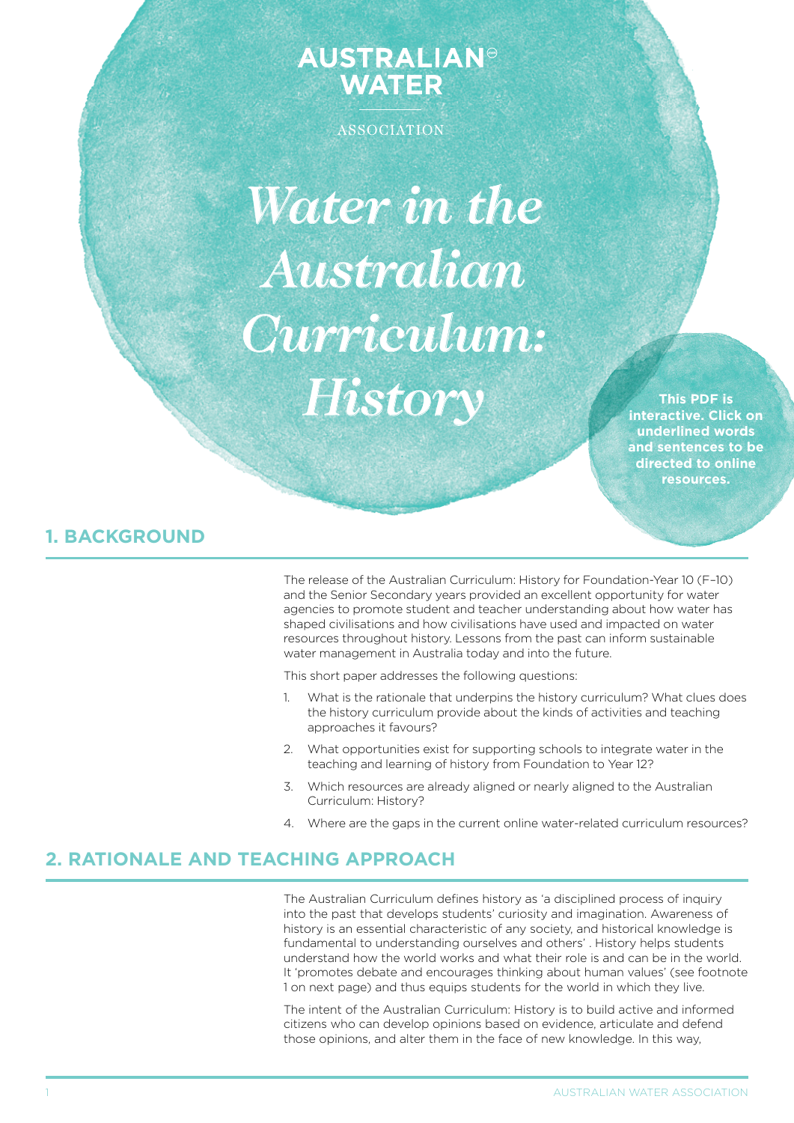# **AUSTRALIAN<sup>®</sup> WATER**

**ASSOCIATION** 

*Water in the Australian Curriculum: History*

**This PDF is interactive. Click on underlined words and sentences to be directed to online resources.**

# **1. BACKGROUND**

The release of the Australian Curriculum: History for Foundation-Year 10 (F–10) and the Senior Secondary years provided an excellent opportunity for water agencies to promote student and teacher understanding about how water has shaped civilisations and how civilisations have used and impacted on water resources throughout history. Lessons from the past can inform sustainable water management in Australia today and into the future.

This short paper addresses the following questions:

- 1. What is the rationale that underpins the history curriculum? What clues does the history curriculum provide about the kinds of activities and teaching approaches it favours?
- 2. What opportunities exist for supporting schools to integrate water in the teaching and learning of history from Foundation to Year 12?
- 3. Which resources are already aligned or nearly aligned to the Australian Curriculum: History?
- 4. Where are the gaps in the current online water-related curriculum resources?

## **2. RATIONALE AND TEACHING APPROACH**

The Australian Curriculum defines history as 'a disciplined process of inquiry into the past that develops students' curiosity and imagination. Awareness of history is an essential characteristic of any society, and historical knowledge is fundamental to understanding ourselves and others' . History helps students understand how the world works and what their role is and can be in the world. It 'promotes debate and encourages thinking about human values' (see footnote 1 on next page) and thus equips students for the world in which they live.

The intent of the Australian Curriculum: History is to build active and informed citizens who can develop opinions based on evidence, articulate and defend those opinions, and alter them in the face of new knowledge. In this way,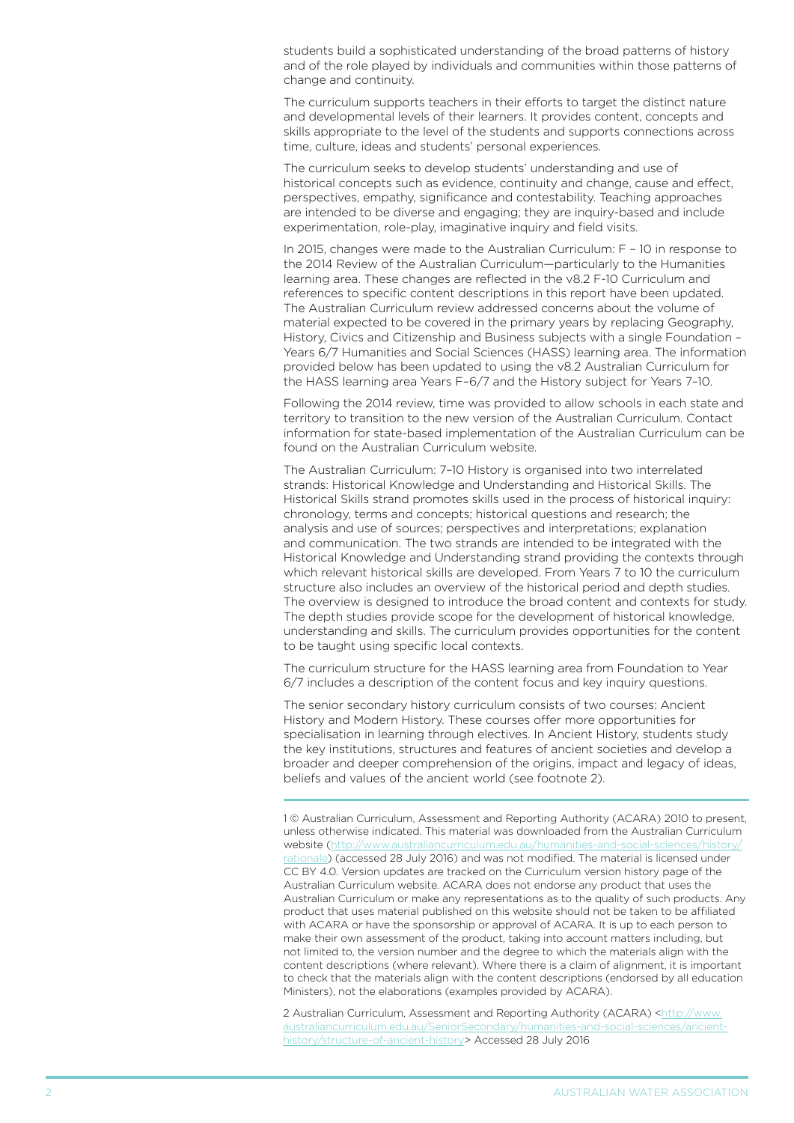students build a sophisticated understanding of the broad patterns of history and of the role played by individuals and communities within those patterns of change and continuity.

The curriculum supports teachers in their efforts to target the distinct nature and developmental levels of their learners. It provides content, concepts and skills appropriate to the level of the students and supports connections across time, culture, ideas and students' personal experiences.

The curriculum seeks to develop students' understanding and use of historical concepts such as evidence, continuity and change, cause and effect, perspectives, empathy, significance and contestability. Teaching approaches are intended to be diverse and engaging; they are inquiry-based and include experimentation, role-play, imaginative inquiry and field visits.

In 2015, changes were made to the Australian Curriculum: F – 10 in response to the 2014 Review of the Australian Curriculum—particularly to the Humanities learning area. These changes are reflected in the v8.2 F-10 Curriculum and references to specific content descriptions in this report have been updated. The Australian Curriculum review addressed concerns about the volume of material expected to be covered in the primary years by replacing Geography, History, Civics and Citizenship and Business subjects with a single Foundation – Years 6/7 Humanities and Social Sciences (HASS) learning area. The information provided below has been updated to using the v8.2 Australian Curriculum for the HASS learning area Years F–6/7 and the History subject for Years 7–10.

Following the 2014 review, time was provided to allow schools in each state and territory to transition to the new version of the Australian Curriculum. Contact information for state-based implementation of the Australian Curriculum can be found on the Australian Curriculum website.

The Australian Curriculum: 7–10 History is organised into two interrelated strands: Historical Knowledge and Understanding and Historical Skills. The Historical Skills strand promotes skills used in the process of historical inquiry: chronology, terms and concepts; historical questions and research; the analysis and use of sources; perspectives and interpretations; explanation and communication. The two strands are intended to be integrated with the Historical Knowledge and Understanding strand providing the contexts through which relevant historical skills are developed. From Years 7 to 10 the curriculum structure also includes an overview of the historical period and depth studies. The overview is designed to introduce the broad content and contexts for study. The depth studies provide scope for the development of historical knowledge, understanding and skills. The curriculum provides opportunities for the content to be taught using specific local contexts.

The curriculum structure for the HASS learning area from Foundation to Year 6/7 includes a description of the content focus and key inquiry questions.

The senior secondary history curriculum consists of two courses: Ancient History and Modern History. These courses offer more opportunities for specialisation in learning through electives. In Ancient History, students study the key institutions, structures and features of ancient societies and develop a broader and deeper comprehension of the origins, impact and legacy of ideas, beliefs and values of the ancient world (see footnote 2).

1 © Australian Curriculum, Assessment and Reporting Authority (ACARA) 2010 to present, unless otherwise indicated. This material was downloaded from the Australian Curriculum website [\(http://www.australiancurriculum.edu.au/humanities-and-social-sciences/history/](http://www.australiancurriculum.edu.au/humanities-and-social-sciences/history/rationale) [rationale\)](http://www.australiancurriculum.edu.au/humanities-and-social-sciences/history/rationale) (accessed 28 July 2016) and was not modified. The material is licensed under CC BY 4.0. Version updates are tracked on the Curriculum version history page of the Australian Curriculum website. ACARA does not endorse any product that uses the Australian Curriculum or make any representations as to the quality of such products. Any product that uses material published on this website should not be taken to be affiliated with ACARA or have the sponsorship or approval of ACARA. It is up to each person to make their own assessment of the product, taking into account matters including, but not limited to, the version number and the degree to which the materials align with the content descriptions (where relevant). Where there is a claim of alignment, it is important to check that the materials align with the content descriptions (endorsed by all education Ministers), not the elaborations (examples provided by ACARA).

2 Australian Curriculum, Assessment and Reporting Authority (ACARA) [<http://www.](http://www.australiancurriculum.edu.au/SeniorSecondary/humanities-and-social-sciences/ancient-history/structure-of-ancient-history) [australiancurriculum.edu.au/SeniorSecondary/humanities-and-social-sciences/ancient](http://www.australiancurriculum.edu.au/SeniorSecondary/humanities-and-social-sciences/ancient-history/structure-of-ancient-history)[history/structure-of-ancient-history](http://www.australiancurriculum.edu.au/SeniorSecondary/humanities-and-social-sciences/ancient-history/structure-of-ancient-history)> Accessed 28 July 2016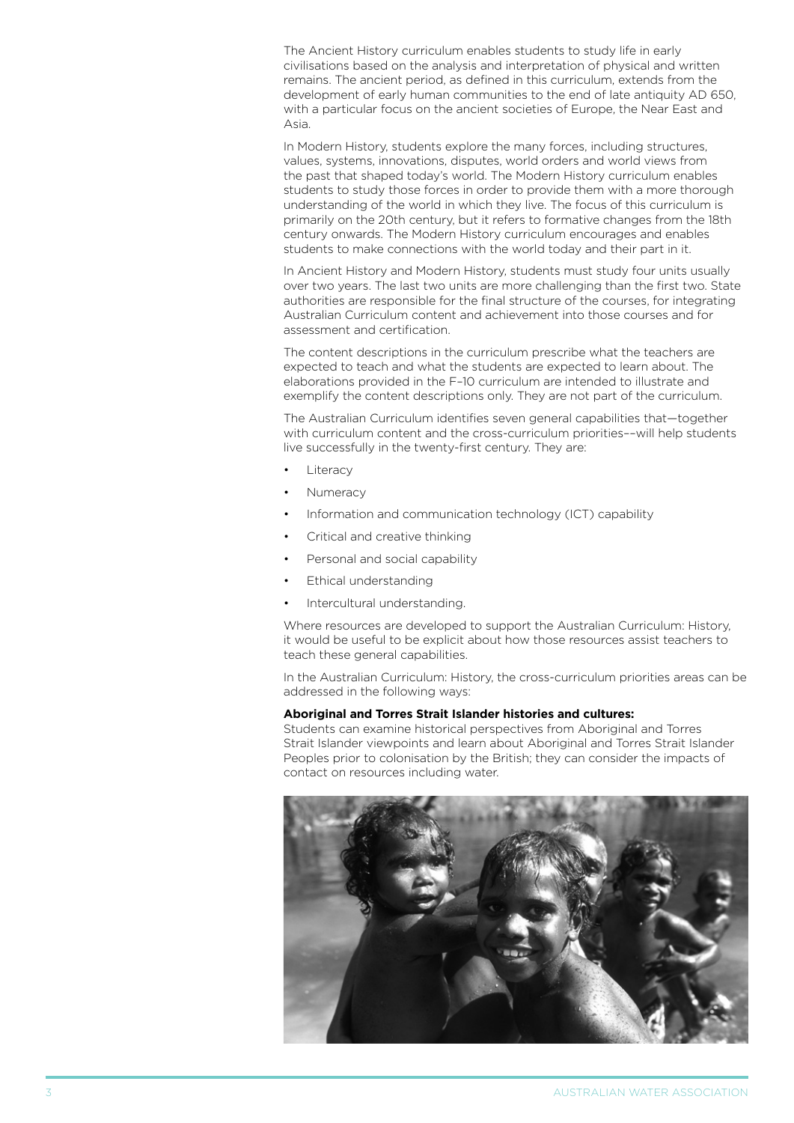The Ancient History curriculum enables students to study life in early civilisations based on the analysis and interpretation of physical and written remains. The ancient period, as defined in this curriculum, extends from the development of early human communities to the end of late antiquity AD 650, with a particular focus on the ancient societies of Europe, the Near East and Asia.

In Modern History, students explore the many forces, including structures, values, systems, innovations, disputes, world orders and world views from the past that shaped today's world. The Modern History curriculum enables students to study those forces in order to provide them with a more thorough understanding of the world in which they live. The focus of this curriculum is primarily on the 20th century, but it refers to formative changes from the 18th century onwards. The Modern History curriculum encourages and enables students to make connections with the world today and their part in it.

In Ancient History and Modern History, students must study four units usually over two years. The last two units are more challenging than the first two. State authorities are responsible for the final structure of the courses, for integrating Australian Curriculum content and achievement into those courses and for assessment and certification.

The content descriptions in the curriculum prescribe what the teachers are expected to teach and what the students are expected to learn about. The elaborations provided in the F–10 curriculum are intended to illustrate and exemplify the content descriptions only. They are not part of the curriculum.

The Australian Curriculum identifies seven general capabilities that—together with curriculum content and the cross-curriculum priorities––will help students live successfully in the twenty-first century. They are:

- Literacy
- **Numeracy**
- Information and communication technology (ICT) capability
- Critical and creative thinking
- Personal and social capability
- **Ethical understanding**
- Intercultural understanding.

Where resources are developed to support the Australian Curriculum: History, it would be useful to be explicit about how those resources assist teachers to teach these general capabilities.

In the Australian Curriculum: History, the cross-curriculum priorities areas can be addressed in the following ways:

#### **Aboriginal and Torres Strait Islander histories and cultures:**

Students can examine historical perspectives from Aboriginal and Torres Strait Islander viewpoints and learn about Aboriginal and Torres Strait Islander Peoples prior to colonisation by the British; they can consider the impacts of contact on resources including water.

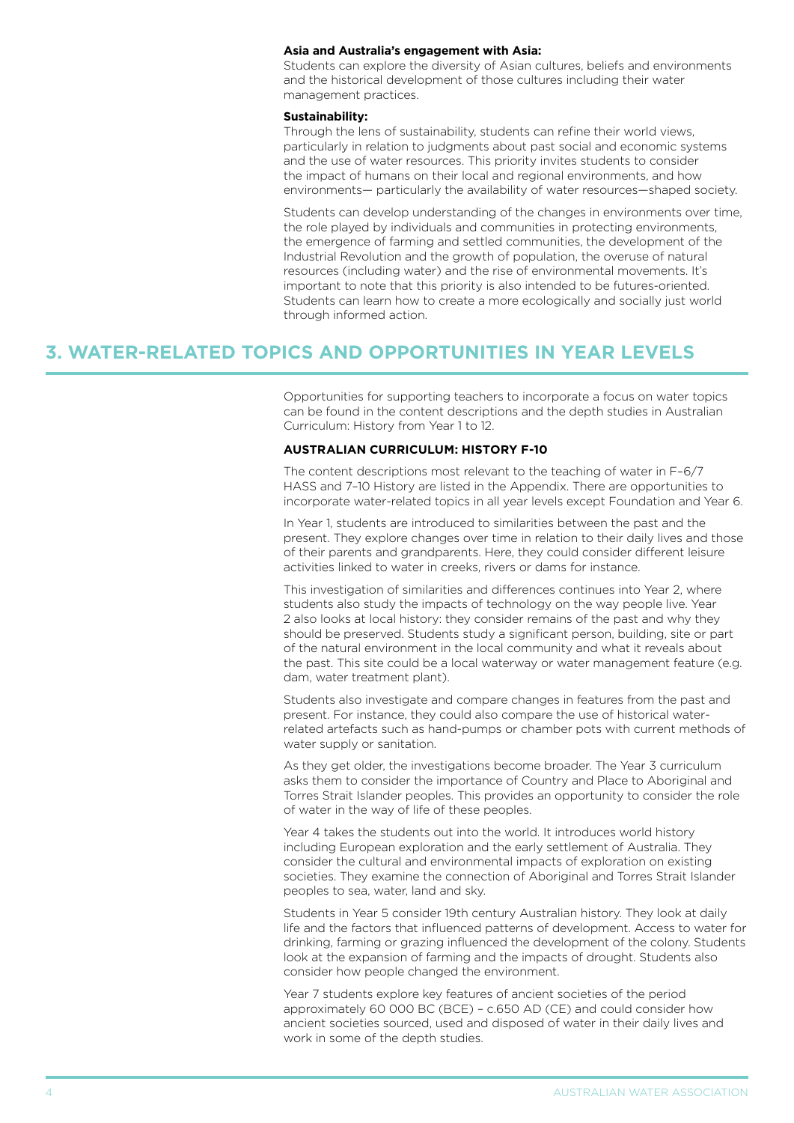#### **Asia and Australia's engagement with Asia:**

Students can explore the diversity of Asian cultures, beliefs and environments and the historical development of those cultures including their water management practices.

#### **Sustainability:**

Through the lens of sustainability, students can refine their world views, particularly in relation to judgments about past social and economic systems and the use of water resources. This priority invites students to consider the impact of humans on their local and regional environments, and how environments— particularly the availability of water resources—shaped society.

Students can develop understanding of the changes in environments over time, the role played by individuals and communities in protecting environments, the emergence of farming and settled communities, the development of the Industrial Revolution and the growth of population, the overuse of natural resources (including water) and the rise of environmental movements. It's important to note that this priority is also intended to be futures-oriented. Students can learn how to create a more ecologically and socially just world through informed action.

### **3. WATER-RELATED TOPICS AND OPPORTUNITIES IN YEAR LEVELS**

Opportunities for supporting teachers to incorporate a focus on water topics can be found in the content descriptions and the depth studies in Australian Curriculum: History from Year 1 to 12.

#### **AUStralian curriculum: history f-10**

The content descriptions most relevant to the teaching of water in F–6/7 HASS and 7–10 History are listed in the Appendix. There are opportunities to incorporate water-related topics in all year levels except Foundation and Year 6.

In Year 1, students are introduced to similarities between the past and the present. They explore changes over time in relation to their daily lives and those of their parents and grandparents. Here, they could consider different leisure activities linked to water in creeks, rivers or dams for instance.

This investigation of similarities and differences continues into Year 2, where students also study the impacts of technology on the way people live. Year 2 also looks at local history: they consider remains of the past and why they should be preserved. Students study a significant person, building, site or part of the natural environment in the local community and what it reveals about the past. This site could be a local waterway or water management feature (e.g. dam, water treatment plant).

Students also investigate and compare changes in features from the past and present. For instance, they could also compare the use of historical waterrelated artefacts such as hand-pumps or chamber pots with current methods of water supply or sanitation.

As they get older, the investigations become broader. The Year 3 curriculum asks them to consider the importance of Country and Place to Aboriginal and Torres Strait Islander peoples. This provides an opportunity to consider the role of water in the way of life of these peoples.

Year 4 takes the students out into the world. It introduces world history including European exploration and the early settlement of Australia. They consider the cultural and environmental impacts of exploration on existing societies. They examine the connection of Aboriginal and Torres Strait Islander peoples to sea, water, land and sky.

Students in Year 5 consider 19th century Australian history. They look at daily life and the factors that influenced patterns of development. Access to water for drinking, farming or grazing influenced the development of the colony. Students look at the expansion of farming and the impacts of drought. Students also consider how people changed the environment.

Year 7 students explore key features of ancient societies of the period approximately 60 000 BC (BCE) – c.650 AD (CE) and could consider how ancient societies sourced, used and disposed of water in their daily lives and work in some of the depth studies.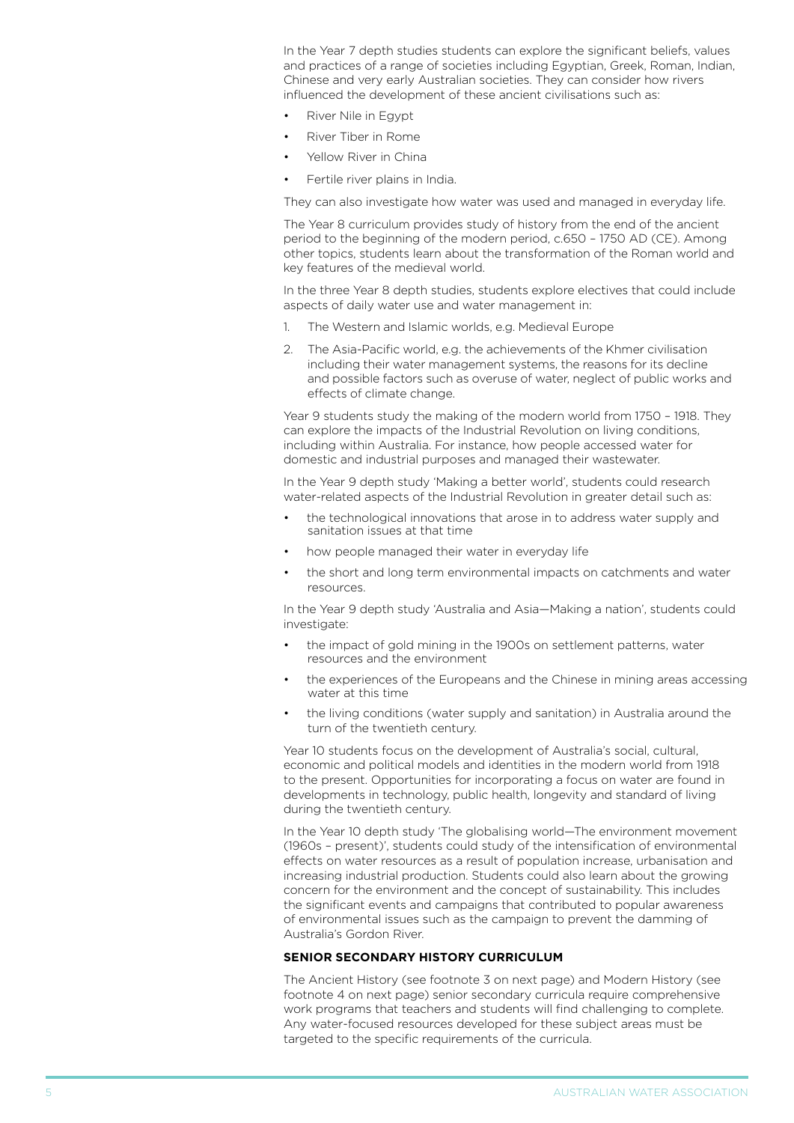In the Year 7 depth studies students can explore the significant beliefs, values and practices of a range of societies including Egyptian, Greek, Roman, Indian, Chinese and very early Australian societies. They can consider how rivers influenced the development of these ancient civilisations such as:

- River Nile in Egypt
- River Tiber in Rome
- Yellow River in China
- Fertile river plains in India.

They can also investigate how water was used and managed in everyday life.

The Year 8 curriculum provides study of history from the end of the ancient period to the beginning of the modern period, c.650 – 1750 AD (CE). Among other topics, students learn about the transformation of the Roman world and key features of the medieval world.

In the three Year 8 depth studies, students explore electives that could include aspects of daily water use and water management in:

- 1. The Western and Islamic worlds, e.g. Medieval Europe
- 2. The Asia-Pacific world, e.g. the achievements of the Khmer civilisation including their water management systems, the reasons for its decline and possible factors such as overuse of water, neglect of public works and effects of climate change.

Year 9 students study the making of the modern world from 1750 – 1918. They can explore the impacts of the Industrial Revolution on living conditions, including within Australia. For instance, how people accessed water for domestic and industrial purposes and managed their wastewater.

In the Year 9 depth study 'Making a better world', students could research water-related aspects of the Industrial Revolution in greater detail such as:

- the technological innovations that arose in to address water supply and sanitation issues at that time
- how people managed their water in everyday life
- the short and long term environmental impacts on catchments and water resources.

In the Year 9 depth study 'Australia and Asia—Making a nation', students could investigate:

- the impact of gold mining in the 1900s on settlement patterns, water resources and the environment
- the experiences of the Europeans and the Chinese in mining areas accessing water at this time
- the living conditions (water supply and sanitation) in Australia around the turn of the twentieth century.

Year 10 students focus on the development of Australia's social, cultural, economic and political models and identities in the modern world from 1918 to the present. Opportunities for incorporating a focus on water are found in developments in technology, public health, longevity and standard of living during the twentieth century.

In the Year 10 depth study 'The globalising world—The environment movement (1960s – present)', students could study of the intensification of environmental effects on water resources as a result of population increase, urbanisation and increasing industrial production. Students could also learn about the growing concern for the environment and the concept of sustainability. This includes the significant events and campaigns that contributed to popular awareness of environmental issues such as the campaign to prevent the damming of Australia's Gordon River.

#### **senior secondary history curriculum**

The Ancient History (see footnote 3 on next page) and Modern History (see footnote 4 on next page) senior secondary curricula require comprehensive work programs that teachers and students will find challenging to complete. Any water-focused resources developed for these subject areas must be targeted to the specific requirements of the curricula.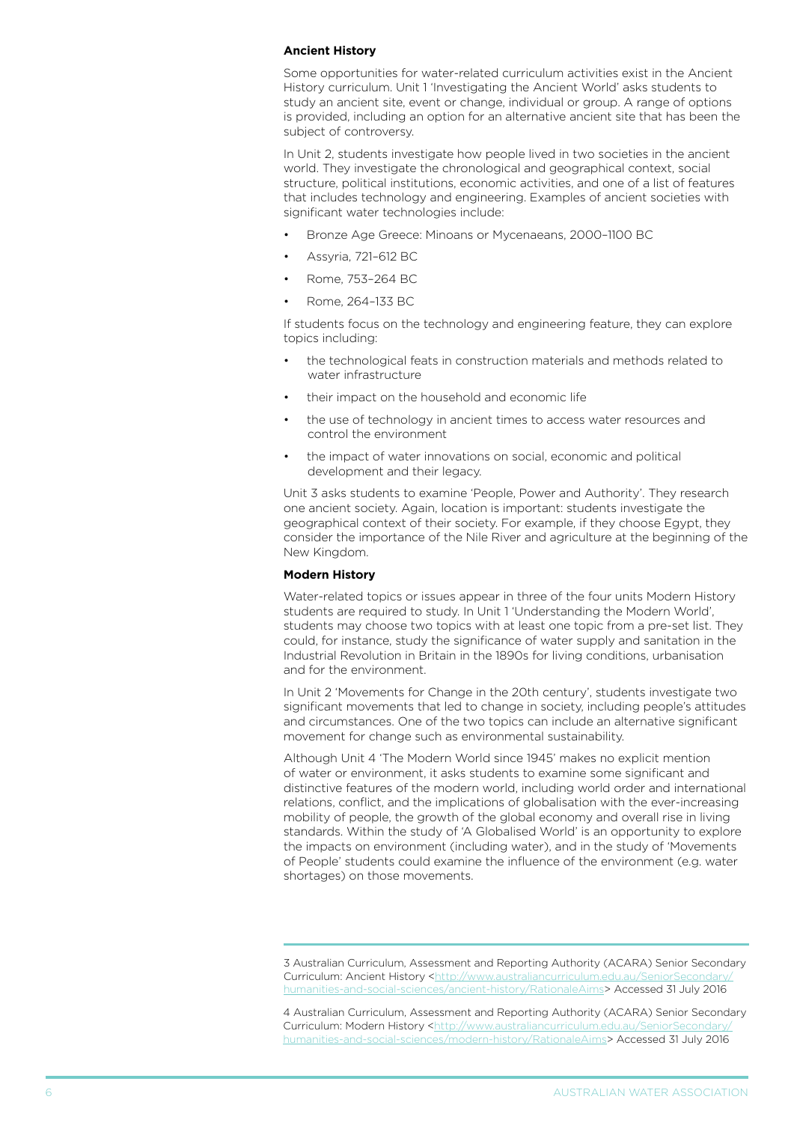#### **Ancient History**

Some opportunities for water-related curriculum activities exist in the Ancient History curriculum. Unit 1 'Investigating the Ancient World' asks students to study an ancient site, event or change, individual or group. A range of options is provided, including an option for an alternative ancient site that has been the subject of controversy.

In Unit 2, students investigate how people lived in two societies in the ancient world. They investigate the chronological and geographical context, social structure, political institutions, economic activities, and one of a list of features that includes technology and engineering. Examples of ancient societies with significant water technologies include:

- Bronze Age Greece: Minoans or Mycenaeans, 2000-1100 BC
- Assyria, 721-612 BC
- Rome, 753-264 BC
- Rome, 264-133 BC

If students focus on the technology and engineering feature, they can explore topics including:

- the technological feats in construction materials and methods related to water infrastructure
- their impact on the household and economic life
- the use of technology in ancient times to access water resources and control the environment
- the impact of water innovations on social, economic and political development and their legacy.

Unit 3 asks students to examine 'People, Power and Authority'. They research one ancient society. Again, location is important: students investigate the geographical context of their society. For example, if they choose Egypt, they consider the importance of the Nile River and agriculture at the beginning of the New Kingdom.

#### **Modern History**

Water-related topics or issues appear in three of the four units Modern History students are required to study. In Unit 1 'Understanding the Modern World', students may choose two topics with at least one topic from a pre-set list. They could, for instance, study the significance of water supply and sanitation in the Industrial Revolution in Britain in the 1890s for living conditions, urbanisation and for the environment.

In Unit 2 'Movements for Change in the 20th century', students investigate two significant movements that led to change in society, including people's attitudes and circumstances. One of the two topics can include an alternative significant movement for change such as environmental sustainability.

Although Unit 4 'The Modern World since 1945' makes no explicit mention of water or environment, it asks students to examine some significant and distinctive features of the modern world, including world order and international relations, conflict, and the implications of globalisation with the ever-increasing mobility of people, the growth of the global economy and overall rise in living standards. Within the study of 'A Globalised World' is an opportunity to explore the impacts on environment (including water), and in the study of 'Movements of People' students could examine the influence of the environment (e.g. water shortages) on those movements.

4 Australian Curriculum, Assessment and Reporting Authority (ACARA) Senior Secondary Curriculum: Modern History <[http://www.australiancurriculum.edu.au/SeniorSecondary/](http://www.australiancurriculum.edu.au/SeniorSecondary/humanities-and-social-sciences/modern-history/RationaleAims) [humanities-and-social-sciences/modern-history/RationaleAims](http://www.australiancurriculum.edu.au/SeniorSecondary/humanities-and-social-sciences/modern-history/RationaleAims)> Accessed 31 July 2016

<sup>3</sup> Australian Curriculum, Assessment and Reporting Authority (ACARA) Senior Secondary Curriculum: Ancient History <http://www.australiancurriculum.edu.au/Senior [humanities-and-social-sciences/ancient-history/RationaleAims](http://www.australiancurriculum.edu.au/SeniorSecondary/humanities-and-social-sciences/ancient-history/RationaleAims)> Accessed 31 July 2016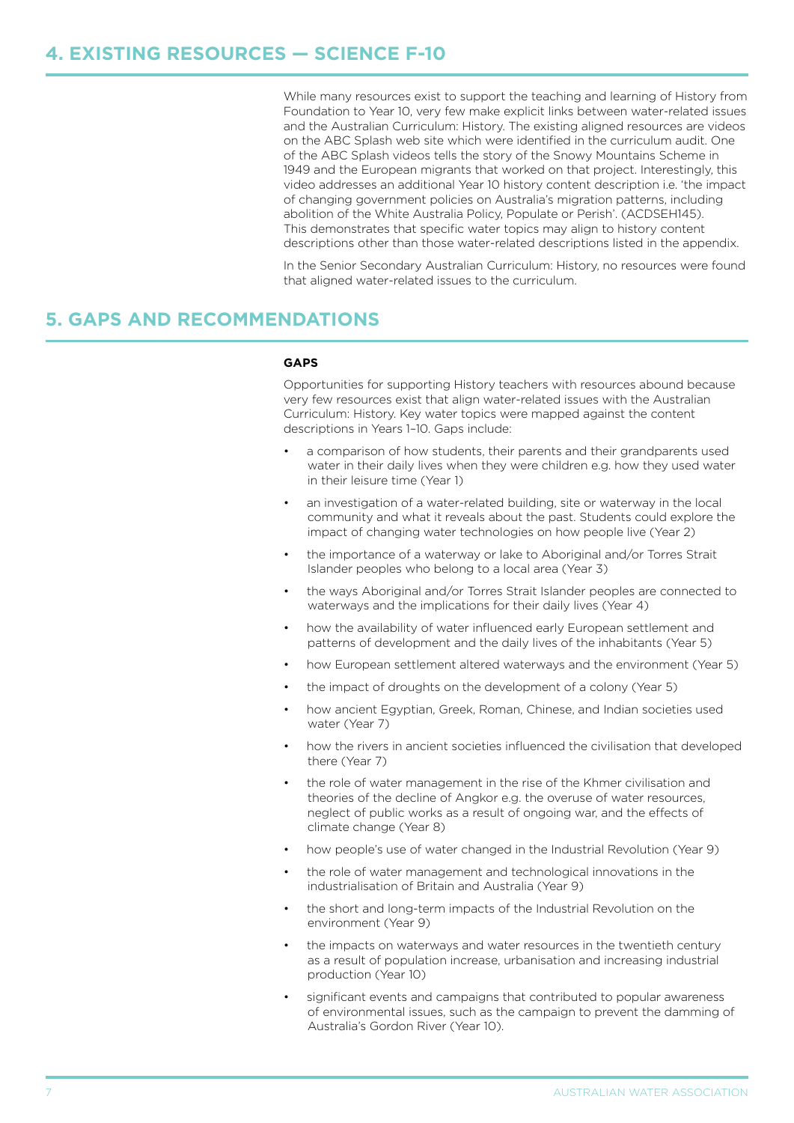While many resources exist to support the teaching and learning of History from Foundation to Year 10, very few make explicit links between water-related issues and the Australian Curriculum: History. The existing aligned resources are videos on the ABC Splash web site which were identified in the curriculum audit. One of the ABC Splash videos tells the story of the Snowy Mountains Scheme in 1949 and the European migrants that worked on that project. Interestingly, this video addresses an additional Year 10 history content description i.e. 'the impact of changing government policies on Australia's migration patterns, including abolition of the White Australia Policy, Populate or Perish'. (ACDSEH145). This demonstrates that specific water topics may align to history content descriptions other than those water-related descriptions listed in the appendix.

In the Senior Secondary Australian Curriculum: History, no resources were found that aligned water-related issues to the curriculum.

### **5. GAPS AND RECOMMENDATIONS**

#### **GAPS**

Opportunities for supporting History teachers with resources abound because very few resources exist that align water-related issues with the Australian Curriculum: History. Key water topics were mapped against the content descriptions in Years 1–10. Gaps include:

- a comparison of how students, their parents and their grandparents used water in their daily lives when they were children e.g. how they used water in their leisure time (Year 1)
- an investigation of a water-related building, site or waterway in the local community and what it reveals about the past. Students could explore the impact of changing water technologies on how people live (Year 2)
- the importance of a waterway or lake to Aboriginal and/or Torres Strait Islander peoples who belong to a local area (Year 3)
- the ways Aboriginal and/or Torres Strait Islander peoples are connected to waterways and the implications for their daily lives (Year 4)
- how the availability of water influenced early European settlement and patterns of development and the daily lives of the inhabitants (Year 5)
- how European settlement altered waterways and the environment (Year 5)
- the impact of droughts on the development of a colony (Year 5)
- how ancient Egyptian, Greek, Roman, Chinese, and Indian societies used water (Year 7)
- how the rivers in ancient societies influenced the civilisation that developed there (Year 7)
- the role of water management in the rise of the Khmer civilisation and theories of the decline of Angkor e.g. the overuse of water resources, neglect of public works as a result of ongoing war, and the effects of climate change (Year 8)
- how people's use of water changed in the Industrial Revolution (Year 9)
- the role of water management and technological innovations in the industrialisation of Britain and Australia (Year 9)
- the short and long-term impacts of the Industrial Revolution on the environment (Year 9)
- the impacts on waterways and water resources in the twentieth century as a result of population increase, urbanisation and increasing industrial production (Year 10)
- significant events and campaigns that contributed to popular awareness of environmental issues, such as the campaign to prevent the damming of Australia's Gordon River (Year 10).